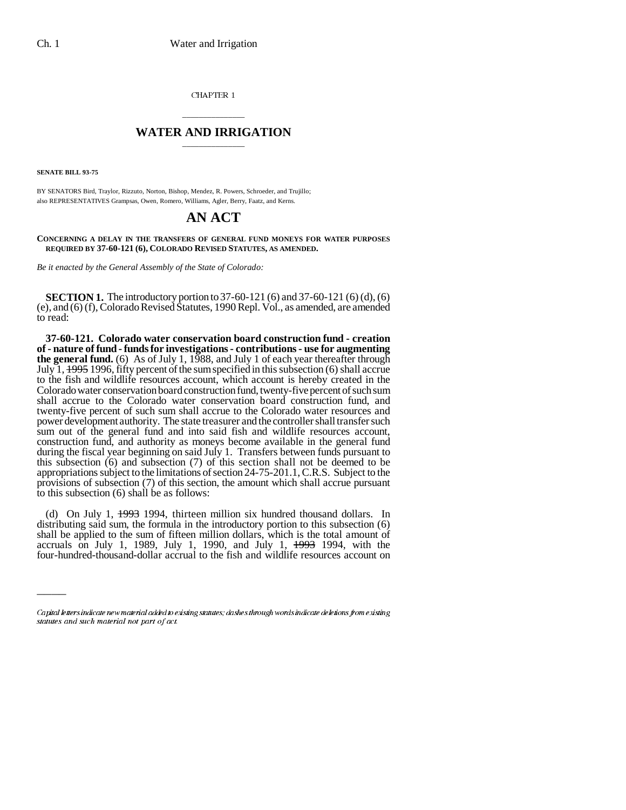CHAPTER 1

## \_\_\_\_\_\_\_\_\_\_\_\_\_\_\_ **WATER AND IRRIGATION** \_\_\_\_\_\_\_\_\_\_\_\_\_\_\_

**SENATE BILL 93-75**

 $\overline{\phantom{a}}$ 

BY SENATORS Bird, Traylor, Rizzuto, Norton, Bishop, Mendez, R. Powers, Schroeder, and Trujillo; also REPRESENTATIVES Grampsas, Owen, Romero, Williams, Agler, Berry, Faatz, and Kerns.

## **AN ACT**

## **CONCERNING A DELAY IN THE TRANSFERS OF GENERAL FUND MONEYS FOR WATER PURPOSES REQUIRED BY 37-60-121 (6), COLORADO REVISED STATUTES, AS AMENDED.**

*Be it enacted by the General Assembly of the State of Colorado:*

**SECTION 1.** The introductory portion to 37-60-121 (6) and 37-60-121 (6) (d), (6) (e), and (6) (f), Colorado Revised Statutes, 1990 Repl. Vol., as amended, are amended to read:

**37-60-121. Colorado water conservation board construction fund - creation of - nature of fund - funds for investigations - contributions - use for augmenting the general fund.** (6) As of July 1, 1988, and July 1 of each year thereafter through July 1, 1995 1996, fifty percent of the sum specified in this subsection (6) shall accrue to the fish and wildlife resources account, which account is hereby created in the Colorado water conservation board construction fund, twenty-five percent of such sum shall accrue to the Colorado water conservation board construction fund, and twenty-five percent of such sum shall accrue to the Colorado water resources and power development authority. The state treasurer and the controller shall transfer such sum out of the general fund and into said fish and wildlife resources account, construction fund, and authority as moneys become available in the general fund during the fiscal year beginning on said July 1. Transfers between funds pursuant to this subsection (6) and subsection (7) of this section shall not be deemed to be appropriations subject to the limitations of section 24-75-201.1, C.R.S. Subject to the provisions of subsection (7) of this section, the amount which shall accrue pursuant to this subsection (6) shall be as follows:

(d) On July 1,  $\frac{1993}{1994}$ , thirteen million six hundred thousand dollars. In distributing said sum, the formula in the introductory portion to this subsection (6) shall be applied to the sum of fifteen million dollars, which is the total amount of accruals on July 1, 1989, July 1, 1990, and July 1, 1993 1994, with the four-hundred-thousand-dollar accrual to the fish and wildlife resources account on

Capital letters indicate new material added to existing statutes; dashes through words indicate deletions from existing statutes and such material not part of act.